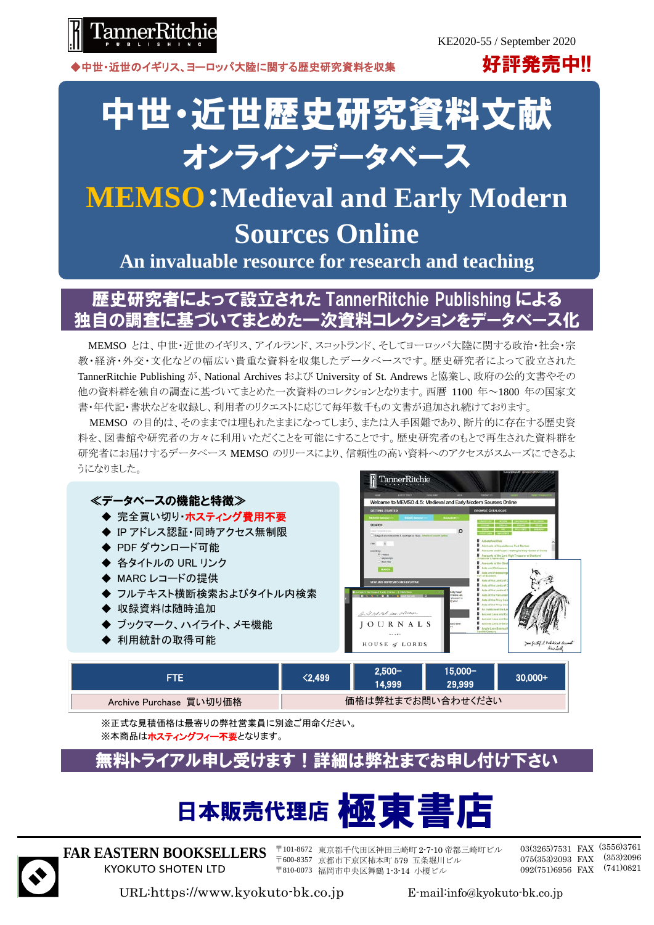

▶中世・近世のイギリス、ヨーロッパ大陸に関する歴史研究資料を収集 アンディング ファイン アンディング アクション アクション アクション アクション アクション

# 中世・近世歴史研究資料文献 オンラインデータベース

## **MEMSO**:**Medieval and Early Modern Sources Online**

**An invaluable resource for research and teaching**

#### 歴史研究者によって設立された TannerRitchie Publishing による 独自の調査に基づいてまとめた一次資料コレクションをデータベース化

MEMSO とは、中世・近世のイギリス、アイルランド、スコットランド、そしてヨーロッパ大陸に関する政治・社会・宗 教・経済・外交・文化などの幅広い貴重な資料を収集したデータベースです。歴史研究者によって設立された TannerRitchie Publishing が、National Archives および University of St. Andrews と協業し、政府の公的文書やその 他の資料群を独自の調査に基づいてまとめた一次資料のコレクションとなります。西暦 1100 年~1800 年の国家文 書・年代記・書状などを収録し、利用者のリクエストに応じて毎年数千もの文書が追加され続けております。

MEMSO の目的は、そのままでは埋もれたままになってしまう、または入手困難であり、断片的に存在する歴史資 料を、図書館や研究者の方々に利用いただくことを可能にすることです。歴史研究者のもとで再生された資料群を 研究者にお届けするデータベース MEMSO のリリースにより、信頼性の高い資料へのアクセスがスムーズにできるよ うになりました。



| FTE                     | $\langle 2.499$   | $2.500 -$<br>14.999 | 15.000-<br>29.999 | :30.000+ |
|-------------------------|-------------------|---------------------|-------------------|----------|
| Archive Purchase 買い切り価格 | 価格は弊社までお問い合わせください |                     |                   |          |

※正式な見積価格は最寄りの弊社営業員に別途ご用命ください。 ※本商品はホスティングフィー不要となります。

### 無料トライアル申し受けます!詳細は弊社までお申し付け下さい





**FAR EASTERN BOOKSELLERS** KYOKUTO SHOTEN LTD

〒101-8672 東京都千代田区神田三崎町 2-7-10 帝都三崎町ビル 〒600-8357 京都市下京区柿本町 579 五条堀川ビル 〒810-0073 福岡市中央区舞鶴 1-3-14 小榎ビル

03(3265)7531 FAX (3556)3761 075(353)2093 FAX (353)2096 092(751)6956 FAX (741)0821

URL:https://www.kyokuto-bk.co.jp E-mail:info@kyokuto-bk.co.jp